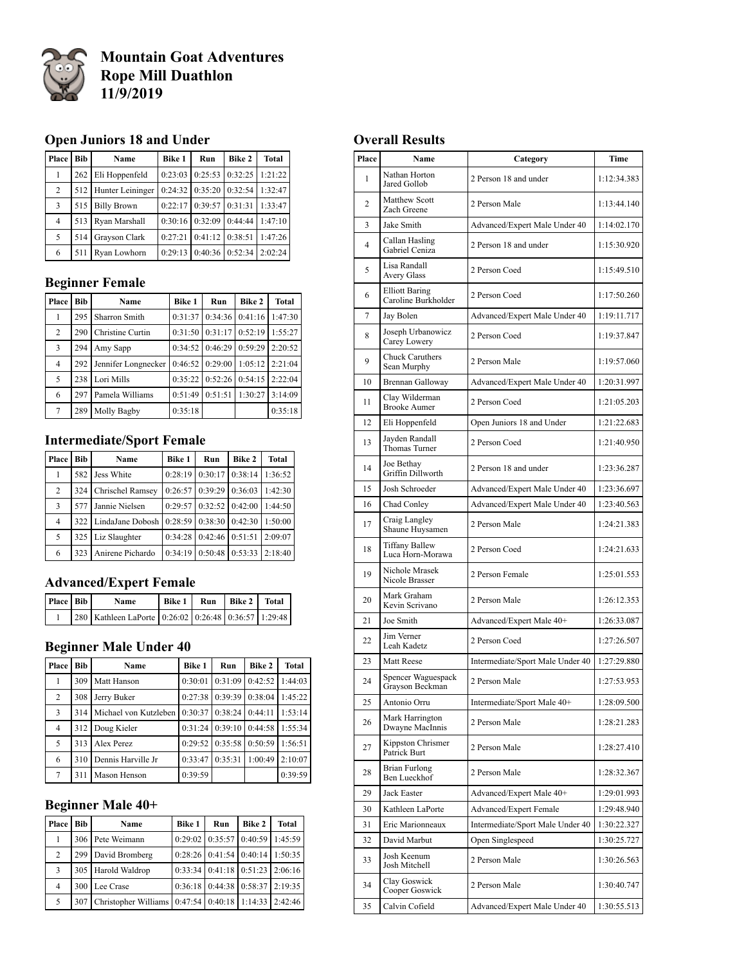

**Mountain Goat Adventures Rope Mill Duathlon 11/9/2019**

### **Open Juniors 18 and Under**

| Place          | <b>Bib</b> | Name                 | Bike 1  | Run                           | Bike 2                            | <b>Total</b> |
|----------------|------------|----------------------|---------|-------------------------------|-----------------------------------|--------------|
|                | 262        | Eli Hoppenfeld       |         |                               | $0:23:03$   $0:25:53$   $0:32:25$ | 1:21:22      |
| 2              |            | 512 Hunter Leininger |         |                               | $0:24:32$   $0:35:20$   $0:32:54$ | 1:32:47      |
| 3              | 515        | <b>Billy Brown</b>   |         | $0:22:17$ $0:39:57$ $0:31:31$ |                                   | 1:33:47      |
| $\overline{4}$ | 513        | Ryan Marshall        |         |                               | $0:30:16$ $0:32:09$ 0:44:44       | 1:47:10      |
| 5              | 514        | Grayson Clark        | 0:27:21 | $0:41:12$ $0:38:51$           |                                   | 1:47:26      |
| 6              | 511        | Ryan Lowhorn         |         |                               | $0:29:13$ 0:40:36 0:52:34         | 2:02:24      |

### **Beginner Female**

| Place | <b>Bib</b> | Name                | <b>Bike 1</b> | Run     | Bike 2  | <b>Total</b> |
|-------|------------|---------------------|---------------|---------|---------|--------------|
|       | 295        | Sharron Smith       | 0:31:37       | 0:34:36 | 0:41:16 | 1:47:30      |
| 2     | 290        | Christine Curtin    | 0:31:50       | 0:31:17 | 0:52:19 | 1:55:27      |
| 3     | 294        | Amy Sapp            | 0:34:52       | 0:46:29 | 0:59:29 | 2:20:52      |
| 4     | 292        | Jennifer Longnecker | 0:46:52       | 0:29:00 | 1:05:12 | 2:21:04      |
| 5     | 238        | Lori Mills          | 0:35:22       | 0:52:26 | 0:54:15 | 2:22:04      |
| 6     | 297        | Pamela Williams     | 0:51:49       | 0:51:51 | 1:30:27 | 3:14:09      |
| 7     | 289        | Molly Bagby         | 0:35:18       |         |         | 0:35:18      |

#### **Intermediate/Sport Female**

| Place | <b>Bib</b> | Name                 | <b>Bike 1</b> | Run     | <b>Bike 2</b>       | <b>Total</b> |
|-------|------------|----------------------|---------------|---------|---------------------|--------------|
|       | 582        | Jess White           | 0:28:19       | 0:30:17 | 0:38:14             | 1:36:52      |
| 2     | 324        | Chrischel Ramsey     | 0:26:57       | 0:39:29 | 0:36:03             | 1:42:30      |
| 3     | 577        | Jannie Nielsen       | 0:29:57       |         | $0:32:52$ $0:42:00$ | 1:44:50      |
| 4     |            | 322 LindaJane Dobosh | 0:28:59       | 0:38:30 | 0:42:30             | 1:50:00      |
| 5     | 325        | Liz Slaughter        | 0:34:28       | 0:42:46 | 0:51:51             | 2:09:07      |
| 6     | 323        | Anirene Pichardo     | 0:34:19       |         | $0:50:48$ $0:53:33$ | 2:18:40      |

### **Advanced/Expert Female**

| Place Bib | <b>Name</b>                                          | Bike 1 | Run Bike 2 Total |  |
|-----------|------------------------------------------------------|--------|------------------|--|
|           | 280 Kathleen LaPorte 0:26:02 0:26:48 0:36:57 1:29:48 |        |                  |  |

#### **Beginner Male Under 40**

| Place | <b>Bib</b> | Name                  | <b>Bike 1</b> | Run     | <b>Bike 2</b> | <b>Total</b> |
|-------|------------|-----------------------|---------------|---------|---------------|--------------|
|       | 309        | Matt Hanson           | 0:30:01       | 0:31:09 | 0:42:52       | 1:44:03      |
| 2     | 308        | Jerry Buker           | 0:27:38       | 0:39:39 | 0:38:04       | 1:45:22      |
| 3     | 314        | Michael von Kutzleben | 0:30:37       | 0:38:24 | 0:44:11       | 1:53:14      |
| 4     | 312        | Doug Kieler           | 0:31:24       | 0:39:10 | 0:44:58       | 1:55:34      |
| 5     | 313        | Alex Perez            | 0:29:52       | 0:35:58 | 0:50:59       | 1:56:51      |
| 6     | 310        | Dennis Harville Jr    | 0:33:47       | 0:35:31 | 1:00:49       | 2:10:07      |
| 7     | 311        | Mason Henson          | 0:39:59       |         |               | 0:39:59      |

### **Beginner Male 40+**

| Place | <b>Bib</b> | Name                                         | <b>Bike 1</b> | Run                               | <b>Bike 2</b> | <b>Total</b> |
|-------|------------|----------------------------------------------|---------------|-----------------------------------|---------------|--------------|
| 1     |            | 306 Pete Weimann                             |               | $0:29:02$ $0:35:57$ $0:40:59$     |               | 1:45:59      |
| 2     | 299        | David Bromberg                               |               | $0:28:26$ 0:41:54 0:40:14         |               | 1:50:35      |
| 3     |            | 305 Harold Waldrop                           |               | $0:33:34$   $0:41:18$   $0:51:23$ |               | 2:06:16      |
| 4     | 300        | Lee Crase                                    | 0:36:18       | $0:44:38$ $0:58:37$               |               | 2:19:35      |
| 5     | 307        | Christopher Williams 0:47:54 0:40:18 1:14:33 |               |                                   |               | 2:42:46      |

#### **Overall Results**

| Place          | Name                                         | Category                         | Time        |
|----------------|----------------------------------------------|----------------------------------|-------------|
| 1              | Nathan Horton<br>Jared Gollob                | 2 Person 18 and under            | 1:12:34.383 |
| $\overline{2}$ | Matthew Scott<br>Zach Greene                 | 2 Person Male                    | 1:13:44.140 |
| 3              | Jake Smith                                   | Advanced/Expert Male Under 40    | 1:14:02.170 |
| $\overline{4}$ | Callan Hasling<br>Gabriel Ceniza             | 2 Person 18 and under            | 1:15:30.920 |
| 5              | Lisa Randall<br>Avery Glass                  | 2 Person Coed                    | 1:15:49.510 |
| 6              | <b>Elliott Baring</b><br>Caroline Burkholder | 2 Person Coed                    | 1:17:50.260 |
| 7              | Jay Bolen                                    | Advanced/Expert Male Under 40    | 1:19:11.717 |
| 8              | Joseph Urbanowicz<br>Carey Lowery            | 2 Person Coed                    | 1:19:37.847 |
| 9              | Chuck Caruthers<br>Sean Murphy               | 2 Person Male                    | 1:19:57.060 |
| 10             | Brennan Galloway                             | Advanced/Expert Male Under 40    | 1:20:31.997 |
| 11             | Clay Wilderman<br><b>Brooke Aumer</b>        | 2 Person Coed                    | 1:21:05.203 |
| 12             | Eli Hoppenfeld                               | Open Juniors 18 and Under        | 1:21:22.683 |
| 13             | Jayden Randall<br>Thomas Turner              | 2 Person Coed                    | 1:21:40.950 |
| 14             | Joe Bethay<br>Griffin Dillworth              | 2 Person 18 and under            | 1:23:36.287 |
| 15             | Josh Schroeder                               | Advanced/Expert Male Under 40    | 1:23:36.697 |
| 16             | Chad Conley                                  | Advanced/Expert Male Under 40    | 1:23:40.563 |
| 17             | Craig Langley<br>Shaune Huysamen             | 2 Person Male                    | 1:24:21.383 |
| 18             | <b>Tiffany Ballew</b><br>Luca Horn-Morawa    | 2 Person Coed                    | 1:24:21.633 |
| 19             | Nichole Mrasek<br>Nicole Brasser             | 2 Person Female                  | 1:25:01.553 |
| 20             | Mark Graham<br>Kevin Scrivano                | 2 Person Male                    | 1:26:12.353 |
| 21             | Joe Smith                                    | Advanced/Expert Male 40+         | 1:26:33.087 |
| 22             | Jim Verner<br>Leah Kadetz                    | 2 Person Coed                    | 1:27:26.507 |
| 23             | Matt Reese                                   | Intermediate/Sport Male Under 40 | 1:27:29.880 |
| 24             | Spencer Waguespack<br>Grayson Beckman        | 2 Person Male                    | 1:27:53.953 |
| 25             | Antonio Orru                                 | Intermediate/Sport Male 40+      | 1:28:09.500 |
| 26             | Mark Harrington<br>Dwayne MacInnis           | 2 Person Male                    | 1:28:21.283 |
| 27             | Kippston Chrismer<br>Patrick Burt            | 2 Person Male                    | 1:28:27.410 |
| 28             | Brian Furlong<br>Ben Lueckhof                | 2 Person Male                    | 1:28:32.367 |
| 29             | Jack Easter                                  | Advanced/Expert Male 40+         | 1:29:01.993 |
| 30             | Kathleen LaPorte                             | Advanced/Expert Female           | 1:29:48.940 |
| 31             | Eric Marionneaux                             | Intermediate/Sport Male Under 40 | 1:30:22.327 |
| 32             | David Marbut                                 | Open Singlespeed                 | 1:30:25.727 |
| 33             | Josh Keenum<br>Josh Mitchell                 | 2 Person Male                    | 1:30:26.563 |
| 34             | Clay Goswick<br>Cooper Goswick               | 2 Person Male                    | 1:30:40.747 |
| 35             | Calvin Cofield                               | Advanced/Expert Male Under 40    | 1:30:55.513 |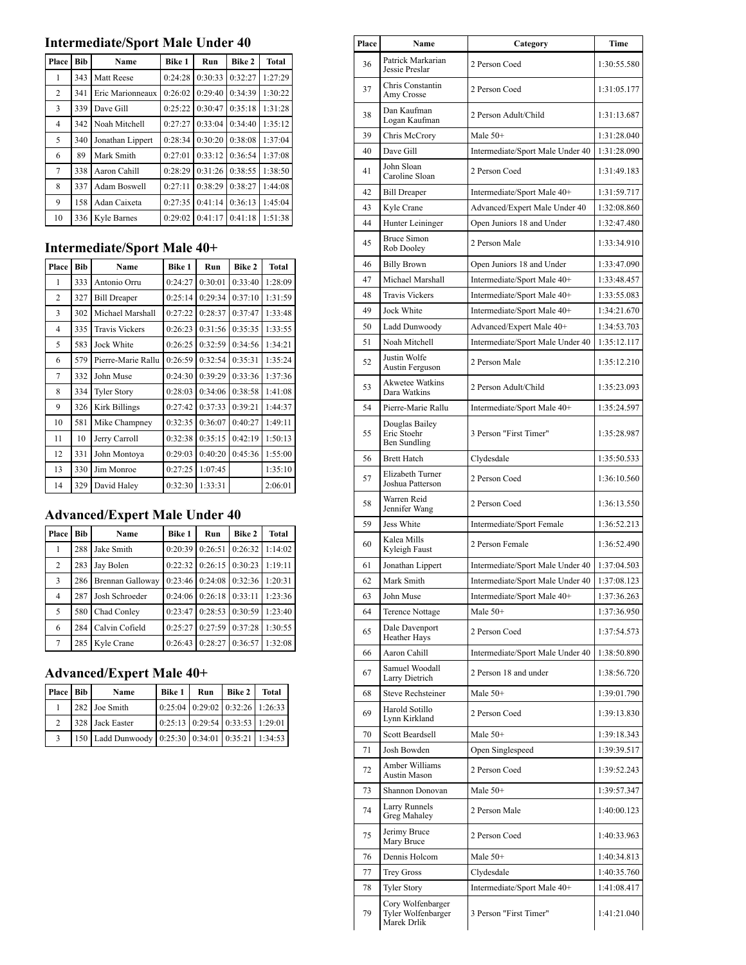## **Intermediate/Sport Male Under 40**

| Place | Bib | Name             | <b>Bike 1</b> | Run     | <b>Bike 2</b> | <b>Total</b> |
|-------|-----|------------------|---------------|---------|---------------|--------------|
| 1     | 343 | Matt Reese       | 0:24:28       | 0:30:33 | 0:32:27       | 1:27:29      |
| 2     | 341 | Eric Marionneaux | 0:26:02       | 0:29:40 | 0:34:39       | 1:30:22      |
| 3     | 339 | Dave Gill        | 0:25:22       | 0:30:47 | 0:35:18       | 1:31:28      |
| 4     | 342 | Noah Mitchell    | 0:27:27       | 0:33:04 | 0:34:40       | 1:35:12      |
| 5     | 340 | Jonathan Lippert | 0:28:34       | 0:30:20 | 0:38:08       | 1:37:04      |
| 6     | 89  | Mark Smith       | 0:27:01       | 0:33:12 | 0:36:54       | 1:37:08      |
| 7     | 338 | Aaron Cahill     | 0:28:29       | 0:31:26 | 0:38:55       | 1:38:50      |
| 8     | 337 | Adam Boswell     | 0:27:11       | 0:38:29 | 0:38:27       | 1:44:08      |
| 9     | 158 | Adan Caixeta     | 0:27:35       | 0:41:14 | 0:36:13       | 1:45:04      |
| 10    | 336 | Kyle Barnes      | 0:29:02       | 0:41:17 | 0:41:18       | 1:51:38      |

### **Intermediate/Sport Male 40+**

| Place | <b>Bib</b> | Name                  | <b>Bike 1</b> | Run     | <b>Bike 2</b> | <b>Total</b> |
|-------|------------|-----------------------|---------------|---------|---------------|--------------|
| 1     | 333        | Antonio Orru          | 0:24:27       | 0:30:01 | 0:33:40       | 1:28:09      |
| 2     | 327        | <b>Bill Dreaper</b>   | 0:25:14       | 0:29:34 | 0:37:10       | 1:31:59      |
| 3     | 302        | Michael Marshall      | 0:27:22       | 0:28:37 | 0:37:47       | 1:33:48      |
| 4     | 335        | <b>Travis Vickers</b> | 0:26:23       | 0:31:56 | 0:35:35       | 1:33:55      |
| 5     | 583        | Jock White            | 0:26:25       | 0:32:59 | 0:34:56       | 1:34:21      |
| 6     | 579        | Pierre-Marie Rallu    | 0:26:59       | 0:32:54 | 0:35:31       | 1:35:24      |
| 7     | 332        | John Muse             | 0:24:30       | 0:39:29 | 0:33:36       | 1:37:36      |
| 8     | 334        | <b>Tyler Story</b>    | 0:28:03       | 0:34:06 | 0:38:58       | 1:41:08      |
| 9     | 326        | Kirk Billings         | 0:27:42       | 0:37:33 | 0:39:21       | 1:44:37      |
| 10    | 581        | Mike Champney         | 0:32:35       | 0:36:07 | 0:40:27       | 1:49:11      |
| 11    | 10         | Jerry Carroll         | 0:32:38       | 0:35:15 | 0:42:19       | 1:50:13      |
| 12    | 331        | John Montoya          | 0:29:03       | 0:40:20 | 0:45:36       | 1:55:00      |
| 13    | 330        | Jim Monroe            | 0:27:25       | 1:07:45 |               | 1:35:10      |
| 14    | 329        | David Haley           | 0:32:30       | 1:33:31 |               | 2:06:01      |

## **Advanced/Expert Male Under 40**

| Place | <b>Bib</b> | Name             | <b>Bike 1</b> | Run     | Bike 2  | <b>Total</b> |
|-------|------------|------------------|---------------|---------|---------|--------------|
| 1     | 288        | Jake Smith       | 0:20:39       | 0:26:51 | 0:26:32 | 1:14:02      |
| 2     | 283        | Jay Bolen        | 0:22:32       | 0:26:15 | 0:30:23 | 1:19:11      |
| 3     | 286        | Brennan Galloway | 0:23:46       | 0:24:08 | 0:32:36 | 1:20:31      |
| 4     | 287        | Josh Schroeder   | 0:24:06       | 0:26:18 | 0:33:11 | 1:23:36      |
| 5     | 580        | Chad Conley      | 0:23:47       | 0:28:53 | 0:30:59 | 1:23:40      |
| 6     | 284        | Calvin Cofield   | 0:25:27       | 0:27:59 | 0:37:28 | 1:30:55      |
| 7     | 285        | Kyle Crane       | 0:26:43       | 0:28:27 | 0:36:57 | 1:32:08      |

### **Advanced/Expert Male 40+**

| Place Bib      | Name                                              | <b>Bike 1</b> | Run | Bike 2                                | Total |
|----------------|---------------------------------------------------|---------------|-----|---------------------------------------|-------|
|                | 282 Joe Smith                                     |               |     | $0:25:04$ $0:29:02$ $0:32:26$ 1:26:33 |       |
| $\mathfrak{D}$ | 328 Jack Easter                                   |               |     | $0:25:13$ $0:29:54$ $0:33:53$ 1:29:01 |       |
| 3              | 150 Ladd Dunwoody 0:25:30 0:34:01 0:35:21 1:34:53 |               |     |                                       |       |

| Place | Name                                                   | Category                         | Time        |
|-------|--------------------------------------------------------|----------------------------------|-------------|
| 36    | Patrick Markarian<br>Jessie Preslar                    | 2 Person Coed                    | 1:30:55.580 |
| 37    | Chris Constantin<br>Amy Crosse                         | 2 Person Coed                    | 1:31:05.177 |
| 38    | Dan Kaufman<br>Logan Kaufman                           | 2 Person Adult/Child             | 1:31:13.687 |
| 39    | Chris McCrory                                          | Male $50+$                       | 1:31:28.040 |
| 40    | Dave Gill                                              | Intermediate/Sport Male Under 40 | 1:31:28.090 |
| 41    | John Sloan<br>Caroline Sloan                           | 2 Person Coed                    | 1:31:49.183 |
| 42    | <b>Bill Dreaper</b>                                    | Intermediate/Sport Male 40+      | 1:31:59.717 |
| 43    | Kyle Crane                                             | Advanced/Expert Male Under 40    | 1:32:08.860 |
| 44    | Hunter Leininger                                       | Open Juniors 18 and Under        | 1:32:47.480 |
| 45    | <b>Bruce Simon</b><br>Rob Dooley                       | 2 Person Male                    | 1:33:34.910 |
| 46    | <b>Billy Brown</b>                                     | Open Juniors 18 and Under        | 1:33:47.090 |
| 47    | Michael Marshall                                       | Intermediate/Sport Male 40+      | 1:33:48.457 |
| 48    | <b>Travis Vickers</b>                                  | Intermediate/Sport Male 40+      | 1:33:55.083 |
| 49    | Jock White                                             | Intermediate/Sport Male 40+      | 1:34:21.670 |
| 50    | Ladd Dunwoody                                          | Advanced/Expert Male 40+         | 1:34:53.703 |
| 51    | Noah Mitchell                                          | Intermediate/Sport Male Under 40 | 1:35:12.117 |
| 52    | Justin Wolfe<br>Austin Ferguson                        | 2 Person Male                    | 1:35:12.210 |
| 53    | <b>Akwetee Watkins</b><br>Dara Watkins                 | 2 Person Adult/Child             | 1:35:23.093 |
| 54    | Pierre-Marie Rallu                                     | Intermediate/Sport Male 40+      | 1:35:24.597 |
| 55    | Douglas Bailey<br>Eric Stoehr<br>Ben Sundling          | 3 Person "First Timer"           | 1:35:28.987 |
| 56    | <b>Brett Hatch</b>                                     | Clydesdale                       | 1:35:50.533 |
| 57    | Elizabeth Turner<br>Joshua Patterson                   | 2 Person Coed                    | 1:36:10.560 |
| 58    | Warren Reid<br>Jennifer Wang                           | 2 Person Coed                    | 1:36:13.550 |
| 59    | Jess White                                             | Intermediate/Sport Female        | 1:36:52.213 |
| 60    | Kalea Mills<br>Kyleigh Faust                           | 2 Person Female                  | 1:36:52.490 |
| 61    | Jonathan Lippert                                       | Intermediate/Sport Male Under 40 | 1:37:04.503 |
| 62    | Mark Smith                                             | Intermediate/Sport Male Under 40 | 1:37:08.123 |
| 63    | John Muse                                              | Intermediate/Sport Male 40+      | 1:37:36.263 |
| 64    | <b>Terence Nottage</b>                                 | Male $50+$                       | 1:37:36.950 |
| 65    | Dale Davenport<br><b>Heather Hays</b>                  | 2 Person Coed                    | 1:37:54.573 |
| 66    | Aaron Cahill                                           | Intermediate/Sport Male Under 40 | 1:38:50.890 |
| 67    | Samuel Woodall<br>Larry Dietrich                       | 2 Person 18 and under            | 1:38:56.720 |
| 68    | <b>Steve Rechsteiner</b>                               | Male $50+$                       | 1:39:01.790 |
| 69    | Harold Sotillo<br>Lynn Kirkland                        | 2 Person Coed                    | 1:39:13.830 |
| 70    | Scott Beardsell                                        | Male 50+                         | 1:39:18.343 |
| 71    | Josh Bowden                                            | Open Singlespeed                 | 1:39:39.517 |
| 72    | Amber Williams<br>Austin Mason                         | 2 Person Coed                    | 1:39:52.243 |
| 73    | Shannon Donovan                                        | Male $50+$                       | 1:39:57.347 |
| 74    | Larry Runnels<br>Greg Mahaley                          | 2 Person Male                    | 1:40:00.123 |
| 75    | Jerimy Bruce<br>Mary Bruce                             | 2 Person Coed                    | 1:40:33.963 |
| 76    | Dennis Holcom                                          | Male $50+$                       | 1:40:34.813 |
| 77    | <b>Trey Gross</b>                                      | Clydesdale                       | 1:40:35.760 |
| 78    | Tyler Story                                            | Intermediate/Sport Male 40+      | 1:41:08.417 |
| 79    | Cory Wolfenbarger<br>Tyler Wolfenbarger<br>Marek Drlik | 3 Person "First Timer"           | 1:41:21.040 |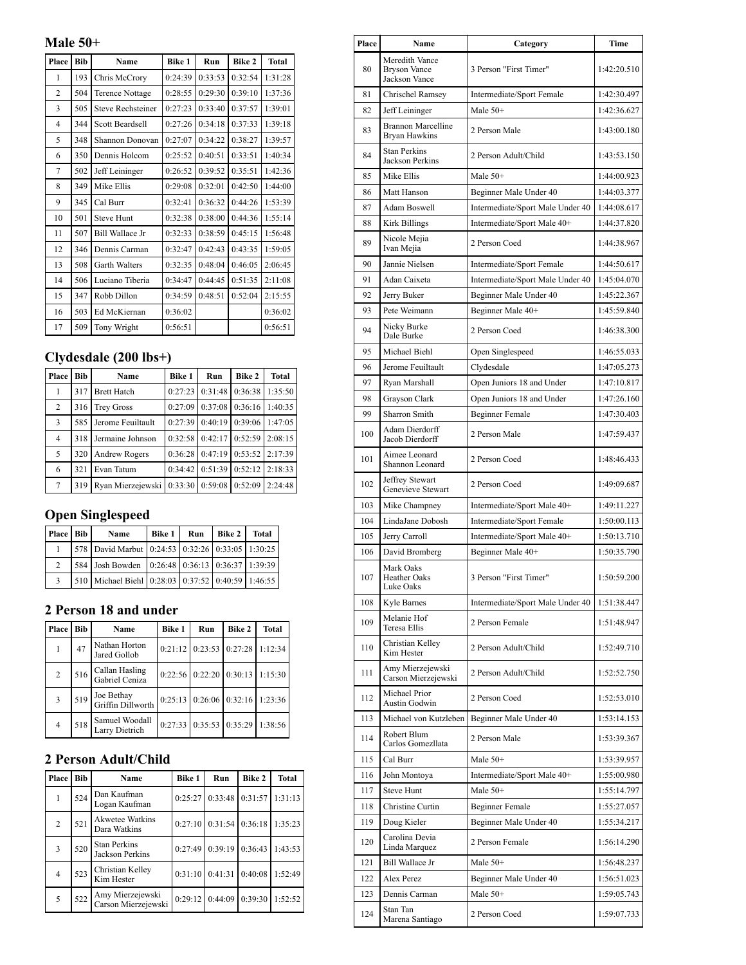**Male 50+**

| Place          | <b>Bib</b> | Name                     | <b>Bike 1</b> | Run     | <b>Bike 2</b> | <b>Total</b> |
|----------------|------------|--------------------------|---------------|---------|---------------|--------------|
| 1              | 193        | Chris McCrory            | 0:24:39       | 0:33:53 | 0:32:54       | 1:31:28      |
| $\overline{2}$ | 504        | <b>Terence Nottage</b>   | 0:28:55       | 0:29:30 | 0:39:10       | 1:37:36      |
| 3              | 505        | <b>Steve Rechsteiner</b> | 0:27:23       | 0:33:40 | 0:37:57       | 1:39:01      |
| 4              | 344        | <b>Scott Beardsell</b>   | 0:27:26       | 0:34:18 | 0:37:33       | 1:39:18      |
| 5              | 348        | Shannon Donovan          | 0:27:07       | 0:34:22 | 0:38:27       | 1:39:57      |
| 6              | 350        | Dennis Holcom            | 0:25:52       | 0:40:51 | 0:33:51       | 1:40:34      |
| 7              | 502        | Jeff Leininger           | 0:26:52       | 0:39:52 | 0:35:51       | 1:42:36      |
| 8              | 349        | Mike Ellis               | 0:29:08       | 0:32:01 | 0:42:50       | 1:44:00      |
| 9              | 345        | Cal Burr                 | 0:32:41       | 0:36:32 | 0:44:26       | 1:53:39      |
| 10             | 501        | <b>Steve Hunt</b>        | 0:32:38       | 0:38:00 | 0:44:36       | 1:55:14      |
| 11             | 507        | Bill Wallace Jr          | 0:32:33       | 0:38:59 | 0:45:15       | 1:56:48      |
| 12             | 346        | Dennis Carman            | 0:32:47       | 0:42:43 | 0:43:35       | 1:59:05      |
| 13             | 508        | <b>Garth Walters</b>     | 0:32:35       | 0:48:04 | 0:46:05       | 2:06:45      |
| 14             | 506        | Luciano Tiberia          | 0:34:47       | 0:44:45 | 0:51:35       | 2:11:08      |
| 15             | 347        | Robb Dillon              | 0:34:59       | 0:48:51 | 0:52:04       | 2:15:55      |
| 16             | 503        | Ed McKiernan             | 0:36:02       |         |               | 0:36:02      |
| 17             | 509        | Tony Wright              | 0:56:51       |         |               | 0:56:51      |

# **Clydesdale (200 lbs+)**

| Place | Bib | Name                 | <b>Bike 1</b> | Run     | <b>Bike 2</b> | <b>Total</b> |
|-------|-----|----------------------|---------------|---------|---------------|--------------|
| 1     | 317 | <b>Brett Hatch</b>   | 0:27:23       | 0:31:48 | 0:36:38       | 1:35:50      |
| 2     | 316 | <b>Trey Gross</b>    | 0:27:09       | 0:37:08 | 0:36:16       | 1:40:35      |
| 3     | 585 | Jerome Feuiltault    | 0:27:39       | 0:40:19 | 0:39:06       | 1:47:05      |
| 4     | 318 | Jermaine Johnson     | 0:32:58       | 0:42:17 | 0:52:59       | 2:08:15      |
| 5     | 320 | <b>Andrew Rogers</b> | 0:36:28       | 0:47:19 | 0:53:52       | 2:17:39      |
| 6     | 321 | Evan Tatum           | 0:34:42       | 0:51:39 | 0:52:12       | 2:18:33      |
| 7     | 319 | Ryan Mierzejewski    | 0:33:30       | 0:59:08 | 0:52:09       | 2:24:48      |

## **Open Singlespeed**

| Place Bib     | Name                                              | <b>Bike 1</b> | Run | <b>Bike 2</b> | <b>Total</b> |
|---------------|---------------------------------------------------|---------------|-----|---------------|--------------|
|               | 578 David Marbut 0:24:53 0:32:26 0:33:05 1:30:25  |               |     |               |              |
| $\mathcal{D}$ | 584 Josh Bowden 0:26:48 0:36:13 0:36:37 1:39:39   |               |     |               |              |
| $\mathbf{a}$  | 510 Michael Biehl 0:28:03 0:37:52 0:40:59 1:46:55 |               |     |               |              |

#### **2 Person 18 and under**

| Place          | Bib | Name                             | <b>Bike 1</b> | Run                           | Bike 2                        | <b>Total</b> |
|----------------|-----|----------------------------------|---------------|-------------------------------|-------------------------------|--------------|
| $\mathbf{1}$   | 47  | Nathan Horton<br>Jared Gollob    |               | $0:21:12$ $0:23:53$ $0:27:28$ |                               | 1:12:34      |
| $\overline{2}$ | 516 | Callan Hasling<br>Gabriel Ceniza |               |                               | $0:22:56$ $0:22:20$ $0:30:13$ | 1:15:30      |
| 3              | 519 | Joe Bethay<br>Griffin Dillworth  |               |                               | $0:25:13$ $0:26:06$ $0:32:16$ | 1:23:36      |
| $\overline{4}$ | 518 | Samuel Woodall<br>Larry Dietrich |               | $0:27:33$ $0:35:53$ $0:35:29$ |                               | 1:38:56      |

### **2 Person Adult/Child**

| Place          | <b>Bib</b> | Name                                          | <b>Bike 1</b> | Run     | <b>Bike 2</b> | <b>Total</b> |
|----------------|------------|-----------------------------------------------|---------------|---------|---------------|--------------|
| 1              | 524        | Dan Kaufman<br>Logan Kaufman                  | 0:25:27       | 0:33:48 | 0:31:57       | 1:31:13      |
| 2              | 521        | <b>Akwetee Watkins</b><br>Dara Watkins        | 0:27:10       | 0:31:54 | 0:36:18       | 1:35:23      |
| 3              | 520        | <b>Stan Perkins</b><br><b>Jackson Perkins</b> | 0:27:49       | 0:39:19 | 0:36:43       | 1:43:53      |
| $\overline{4}$ | 523        | Christian Kelley<br>Kim Hester                | 0:31:10       | 0:41:31 | 0:40:08       | 1:52:49      |
| 5              | 522        | Amy Mierzejewski<br>Carson Mierzejewski       | 0:29:12       | 0:44:09 | 0:39:30       | 1:52:52      |

| Place | Name                                                   | Category                         | Time        |
|-------|--------------------------------------------------------|----------------------------------|-------------|
| 80    | Meredith Vance<br><b>Bryson Vance</b><br>Jackson Vance | 3 Person "First Timer"           | 1:42:20.510 |
| 81    | Chrischel Ramsey                                       | Intermediate/Sport Female        | 1:42:30.497 |
| 82    | Jeff Leininger                                         | Male $50+$                       | 1:42:36.627 |
| 83    | <b>Brannon Marcelline</b><br>Bryan Hawkins             | 2 Person Male                    | 1:43:00.180 |
| 84    | <b>Stan Perkins</b><br>Jackson Perkins                 | 2 Person Adult/Child             | 1:43:53.150 |
| 85    | Mike Ellis                                             | Male $50+$                       | 1:44:00.923 |
| 86    | Matt Hanson                                            | Beginner Male Under 40           | 1:44:03.377 |
| 87    | <b>Adam Boswell</b>                                    | Intermediate/Sport Male Under 40 | 1:44:08.617 |
| 88    | Kirk Billings                                          | Intermediate/Sport Male 40+      | 1:44:37.820 |
| 89    | Nicole Mejia<br>Ivan Mejia                             | 2 Person Coed                    | 1:44:38.967 |
| 90    | Jannie Nielsen                                         | Intermediate/Sport Female        | 1:44:50.617 |
| 91    | Adan Caixeta                                           | Intermediate/Sport Male Under 40 | 1:45:04.070 |
| 92    | Jerry Buker                                            | Beginner Male Under 40           | 1:45:22.367 |
| 93    | Pete Weimann                                           | Beginner Male 40+                | 1:45:59.840 |
| 94    | Nicky Burke<br>Dale Burke                              | 2 Person Coed                    | 1:46:38.300 |
| 95    | Michael Biehl                                          | Open Singlespeed                 | 1:46:55.033 |
| 96    | Jerome Feuiltault                                      | Clydesdale                       | 1:47:05.273 |
| 97    | Ryan Marshall                                          | Open Juniors 18 and Under        | 1:47:10.817 |
| 98    | Grayson Clark                                          | Open Juniors 18 and Under        | 1:47:26.160 |
| 99    | Sharron Smith                                          | <b>Beginner Female</b>           | 1:47:30.403 |
| 100   | Adam Dierdorff<br>Jacob Dierdorff                      | 2 Person Male                    | 1:47:59.437 |
| 101   | Aimee Leonard<br>Shannon Leonard                       | 2 Person Coed                    | 1:48:46.433 |
| 102   | Jeffrey Stewart<br>Genevieve Stewart                   | 2 Person Coed                    | 1:49:09.687 |
| 103   | Mike Champney                                          | Intermediate/Sport Male 40+      | 1:49:11.227 |
| 104   | LindaJane Dobosh                                       | Intermediate/Sport Female        | 1:50:00.113 |
| 105   | Jerry Carroll                                          | Intermediate/Sport Male 40+      | 1:50:13.710 |
| 106   | David Bromberg                                         | Beginner Male 40+                | 1:50:35.790 |
| 107   | Mark Oaks<br><b>Heather Oaks</b><br>Luke Oaks          | 3 Person "First Timer"           | 1:50:59.200 |
| 108   | Kyle Barnes                                            | Intermediate/Sport Male Under 40 | 1:51:38.447 |
| 109   | Melanie Hof<br>Teresa Ellis                            | 2 Person Female                  | 1:51:48.947 |
| 110   | Christian Kelley<br>Kim Hester                         | 2 Person Adult/Child             | 1:52:49.710 |
| 111   | Amy Mierzejewski<br>Carson Mierzejewski                | 2 Person Adult/Child             | 1:52:52.750 |
| 112   | Michael Prior<br><b>Austin Godwin</b>                  | 2 Person Coed                    | 1:52:53.010 |
| 113   | Michael von Kutzleben                                  | Beginner Male Under 40           | 1:53:14.153 |
| 114   | Robert Blum<br>Carlos Gomezllata                       | 2 Person Male                    | 1:53:39.367 |
| 115   | Cal Burr                                               | Male $50+$                       | 1:53:39.957 |
| 116   | John Montoya                                           | Intermediate/Sport Male 40+      | 1:55:00.980 |
| 117   | <b>Steve Hunt</b>                                      | Male 50+                         | 1:55:14.797 |
| 118   | Christine Curtin                                       | <b>Beginner Female</b>           | 1:55:27.057 |
| 119   | Doug Kieler                                            | Beginner Male Under 40           | 1:55:34.217 |
| 120   | Carolina Devia<br>Linda Marquez                        | 2 Person Female                  | 1:56:14.290 |
| 121   | Bill Wallace Jr                                        | Male $50+$                       | 1:56:48.237 |
| 122   | Alex Perez                                             | Beginner Male Under 40           | 1:56:51.023 |
| 123   | Dennis Carman                                          | Male $50+$                       | 1:59:05.743 |
| 124   | Stan Tan<br>Marena Santiago                            | 2 Person Coed                    | 1:59:07.733 |

 $\mathbf{r}$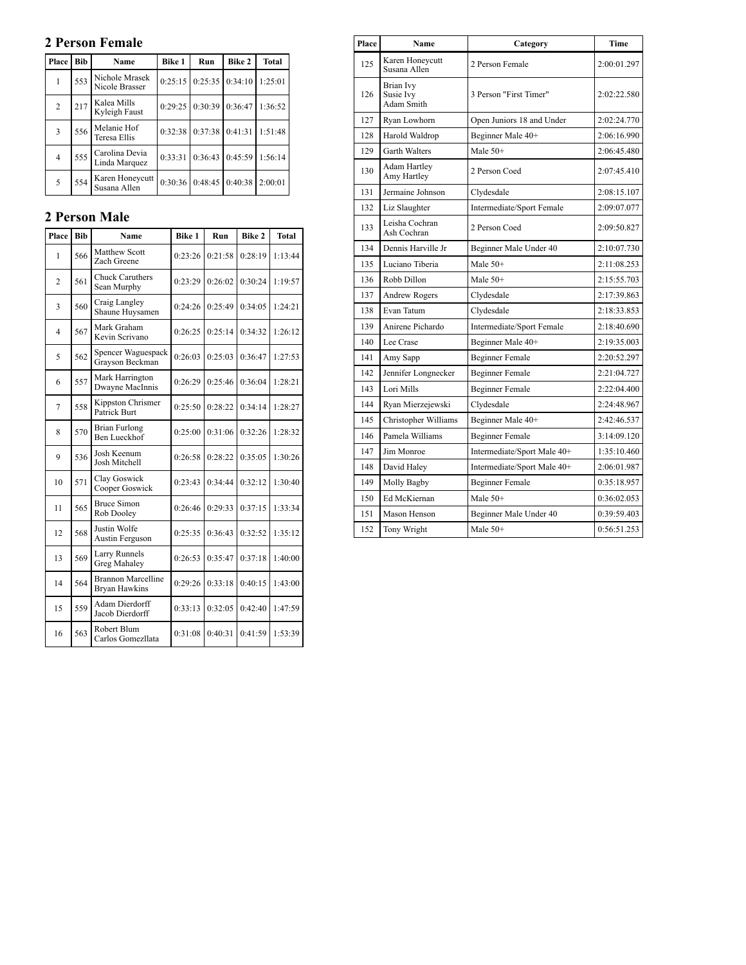### **2 Person Female**

| Place          | <b>Bib</b> | Name                             | <b>Bike 1</b> | Run               | Bike 2  | <b>Total</b> |
|----------------|------------|----------------------------------|---------------|-------------------|---------|--------------|
| 1              | 553        | Nichole Mrasek<br>Nicole Brasser | 0:25:15       | 0:25:35           | 0:34:10 | 1:25:01      |
| $\overline{2}$ | 217        | Kalea Mills<br>Kyleigh Faust     |               | $0:29:25$ 0:30:39 | 0:36:47 | 1:36:52      |
| 3              | 556        | Melanie Hof<br>Teresa Ellis      | 0:32:38       | 0:37:38           | 0:41:31 | 1:51:48      |
| 4              | 555        | Carolina Devia<br>Linda Marquez  | 0:33:31       | 0:36:43           | 0:45:59 | 1:56:14      |
| 5              | 554        | Karen Honeycutt<br>Susana Allen  | 0:30:36       | 0:48:45           | 0:40:38 | 2:00:01      |

#### **2 Person Male**

| Place          | Bib | Name                                              | <b>Bike 1</b> | Run     | <b>Bike 2</b> | <b>Total</b> |
|----------------|-----|---------------------------------------------------|---------------|---------|---------------|--------------|
| 1              | 566 | Matthew Scott<br>Zach Greene                      | 0:23:26       | 0:21:58 | 0:28:19       | 1:13:44      |
| $\overline{2}$ | 561 | <b>Chuck Caruthers</b><br>Sean Murphy             | 0:23:29       | 0:26:02 | 0:30:24       | 1:19:57      |
| 3              | 560 | Craig Langley<br>Shaune Huysamen                  | 0:24:26       | 0:25:49 | 0:34:05       | 1:24:21      |
| 4              | 567 | Mark Graham<br>Kevin Scrivano                     | 0:26:25       | 0:25:14 | 0:34:32       | 1:26:12      |
| 5              | 562 | Spencer Waguespack<br>Grayson Beckman             | 0:26:03       | 0:25:03 | 0:36:47       | 1:27:53      |
| 6              | 557 | Mark Harrington<br>Dwayne MacInnis                | 0:26:29       | 0:25:46 | 0:36:04       | 1:28:21      |
| 7              | 558 | Kippston Chrismer<br>Patrick Burt                 | 0:25:50       | 0:28:22 | 0:34:14       | 1:28:27      |
| 8              | 570 | <b>Brian Furlong</b><br>Ben Lueckhof              | 0:25:00       | 0:31:06 | 0:32:26       | 1:28:32      |
| 9              | 536 | Josh Keenum<br>Josh Mitchell                      | 0:26:58       | 0:28:22 | 0:35:05       | 1:30:26      |
| 10             | 571 | Clay Goswick<br>Cooper Goswick                    | 0:23:43       | 0:34:44 | 0:32:12       | 1:30:40      |
| 11             | 565 | <b>Bruce Simon</b><br>Rob Dooley                  | 0:26:46       | 0:29:33 | 0:37:15       | 1:33:34      |
| 12             | 568 | Justin Wolfe<br>Austin Ferguson                   | 0:25:35       | 0:36:43 | 0:32:52       | 1:35:12      |
| 13             | 569 | Larry Runnels<br><b>Greg Mahaley</b>              | 0:26:53       | 0:35:47 | 0:37:18       | 1:40:00      |
| 14             | 564 | <b>Brannon Marcelline</b><br><b>Bryan Hawkins</b> | 0:29:26       | 0:33:18 | 0:40:15       | 1:43:00      |
| 15             | 559 | Adam Dierdorff<br>Jacob Dierdorff                 | 0:33:13       | 0:32:05 | 0:42:40       | 1:47:59      |
| 16             | 563 | Robert Blum<br>Carlos Gomezllata                  | 0:31:08       | 0:40:31 | 0:41:59       | 1:53:39      |

| Place | Name                                 | Category                    | Time        |
|-------|--------------------------------------|-----------------------------|-------------|
| 125   | Karen Honeycutt<br>Susana Allen      | 2 Person Female             | 2:00:01.297 |
| 126   | Brian Ivy<br>Susie Ivy<br>Adam Smith | 3 Person "First Timer"      | 2:02:22.580 |
| 127   | Ryan Lowhorn                         | Open Juniors 18 and Under   | 2:02:24.770 |
| 128   | Harold Waldrop                       | Beginner Male 40+           | 2:06:16.990 |
| 129   | Garth Walters                        | Male $50+$                  | 2:06:45.480 |
| 130   | Adam Hartley<br>Amy Hartley          | 2 Person Coed               | 2:07:45.410 |
| 131   | Jermaine Johnson                     | Clydesdale                  | 2:08:15.107 |
| 132   | Liz Slaughter                        | Intermediate/Sport Female   | 2:09:07.077 |
| 133   | Leisha Cochran<br>Ash Cochran        | 2 Person Coed               | 2:09:50.827 |
| 134   | Dennis Harville Jr                   | Beginner Male Under 40      | 2:10:07.730 |
| 135   | Luciano Tiberia                      | Male 50+                    | 2:11:08.253 |
| 136   | Robb Dillon                          | Male $50+$                  | 2:15:55.703 |
| 137   | <b>Andrew Rogers</b>                 | Clydesdale                  | 2:17:39.863 |
| 138   | Evan Tatum                           | Clydesdale                  | 2:18:33.853 |
| 139   | Anirene Pichardo                     | Intermediate/Sport Female   | 2:18:40.690 |
| 140   | Lee Crase                            | Beginner Male 40+           | 2:19:35.003 |
| 141   | Amy Sapp                             | Beginner Female             | 2:20:52.297 |
| 142   | Jennifer Longnecker                  | <b>Beginner Female</b>      | 2:21:04.727 |
| 143   | Lori Mills                           | <b>Beginner Female</b>      | 2:22:04.400 |
| 144   | Ryan Mierzejewski                    | Clydesdale                  | 2:24:48.967 |
| 145   | Christopher Williams                 | Beginner Male 40+           | 2:42:46.537 |
| 146   | Pamela Williams                      | <b>Beginner Female</b>      | 3:14:09.120 |
| 147   | Jim Monroe                           | Intermediate/Sport Male 40+ | 1:35:10.460 |
| 148   | David Haley                          | Intermediate/Sport Male 40+ | 2:06:01.987 |
| 149   | Molly Bagby                          | <b>Beginner Female</b>      | 0:35:18.957 |
| 150   | Ed McKiernan                         | Male $50+$                  | 0:36:02.053 |
| 151   | Mason Henson                         | Beginner Male Under 40      | 0:39:59.403 |
| 152   | Tony Wright                          | Male 50+                    | 0:56:51.253 |